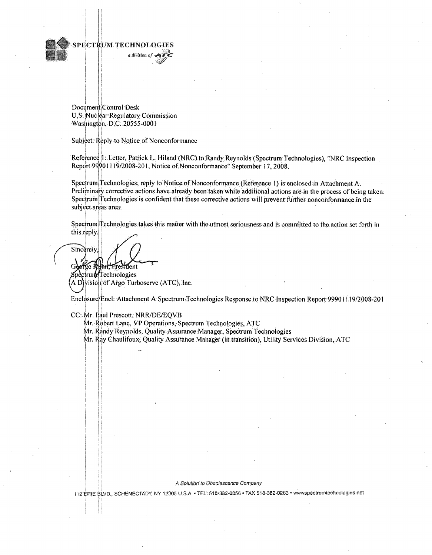

Document Control Desk U.S. Nuclear Regulatory Commission Washington, D.C. 20555-0001

Subject: Reply to Notice of Nonconformance

Reference 1: Letter, Patrick L. Hiland (NRC) to Randy Reynolds (Spectrum Technologies), "NRC Inspection Report 99901119/2008-201, Notice of Nonconformance'' September 17, 2008.

Spectrum Technologies, reply to Notice of Nonconformance (Reference **1)** is enclosed in Attachment A. Preliminary corrective actions have already been taken while additional actions are in the process of being taken. Spectrum Technologies is confident' that these corrective actions will prevent further nonconformance in the subject areas area.

Spectrum Technologies takes this matter with the utmost seriousness and is committed to the action set forth in this reply.

**Sincerely**, Goof te R Frestdent

Spectrum Technologies A Djvision of Argo Turboserve (ATC), Inc.

Enclosure/Encl: Attachment A Spectrum Technologies Response to NRC Inspection Report 99901119/2008-201

CC: Mr. Paul Prescott, NRR/DE/EQVB

Mr. Robert Lane, VP Operations, Spectrum Technologies, ATC

Mr. kandy Reynolds, Quality Assurance.Manager, Spectrum Technologies

Mr. **1ay** Chaulifoux, Quality Assurance Manager (in transition), Utility Services Division,.ATC

#### A Solution to Obsolescence Company

112 ERIE BLVD., SCHENECTADY, NY 12305 U.S.A. TEL: 518-382-0056 \* FAX 518-382-0283 \* www.spectrumtechnologies.net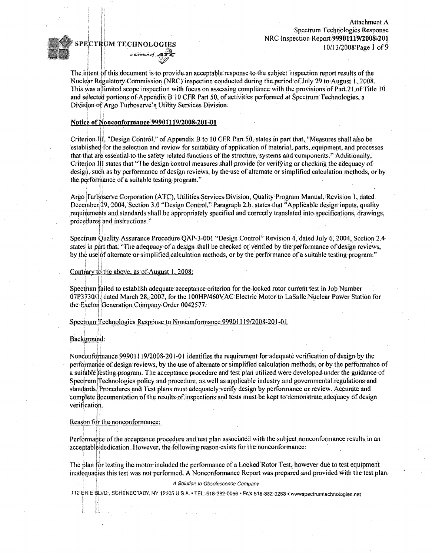Attachment A Spectrum Technologies Response NRC Inspection Report.99901119/2008-201 **j**<br>10/13/2008 Page 1 of 9

# *a division of* **A**



The intent **of** this document is to, provide. an acceptable: response to: the :subject inspection report results of the Nuclear Regulatory:Commission (NRC) inspection conducted during theperiod:ofJuly 29 to August **1,** 2008. This was allimited scope inspection with focus on assessing compliance with the provisions of Part 21 of Title 10 and selected portions of Appendix B<sup>-10</sup> CFR Part 50, of activities performed at Spectrum Technologies; a Division of Argo Turboserve's Utility Services Division.

## Notice of Nonconformance **99901119/2008-201-01**

Criterion **III, "Design Control," of Appendix.B to 10 CFR** Part 50, states in part that, "Measures shall also be established for the selection and review for suitability of application of material, parts, equipment, and processes that that are essentialto the safety related functions of the structure, systems and components.\* Additionally, Criterion III states that "The design control measures shall provide for verifying or checking the adequacy of design, such as by performance of design reviews, by the use of alternate or simplified calculation methods, or by the performance of a suitable testing program."

Argo Turboserve Corporation (ATC), Utilities Services Division, Quality Program Manual, Revision **1,** dated December, 29, 2004, Section 3.0, "Design Control," Paragraph 2.b. states that "Applicable design inputs, quality requirements and standards shall be appropriately specified and 'correctly translated into: specifications,.drawings, procedures and instructions."

Spectrum Quality Assurance Procedure OAP-3-001 "Design Control" Revision 4, dated July 6, 2004. Section 2.4 states in part that. "The adequacy of a design shall be checked or verified by the performance of design reviews, by the uselof alternate or simplified calculation methods, or by the performance of a suitable testing program."

## Contrary to the above, as of August 1, 2008:

Spectrum failed to establish adequate:acceptance criterion for the locked rotor current test in Job Number 07P3730/1, dated March 28, 2007, for the 100HP/460VAC Electric Motor to LaSalle.Nuclear Power Station for the Exelon Generation Company Order 0042577.

Spectrum Technologies Response to Nonconformance 99901119/2008-201-01.

Background:

Nonconformance.99901119/2008-201.-01 identifies the requirement for adequate verification of design by the performance of design reviews, by the use of alternate or simplified calculation methods, or by the performance of a suitable testing program. The acceptance.procedure and test plan utitized. were developed under the guidance of Spectrum Technologies: policy and procedure, as well as applicable industry and governmental: regulations and standards Procedures and Test plans must adequately verify design by performance or review. Accurate and complete documentation of the results of inspections and tests must be kept to demonstrate adequacy of design verification.

## Reason fdr the nonconformance:

Performance of the acceptance procedure and test plan associated with the subject nonconformance results in an acceptable dedication. However, the following reason exists for the nonconformance:

The plan for testing the motor included the performance of a Locked Rotor Test, however due to test equipment inadequacies this test was not performed. A Nonconformance Report was prepared and provided with the test plan.

*.A* Solution *to Obsolescenne Company*

112 ERIE 8LVD,. SCHENECTADY. NY 12305 **U,SA,** - TEL:,518-382-0056- FAX.518-382-0283 ý:wwwspectrufntechnologies~net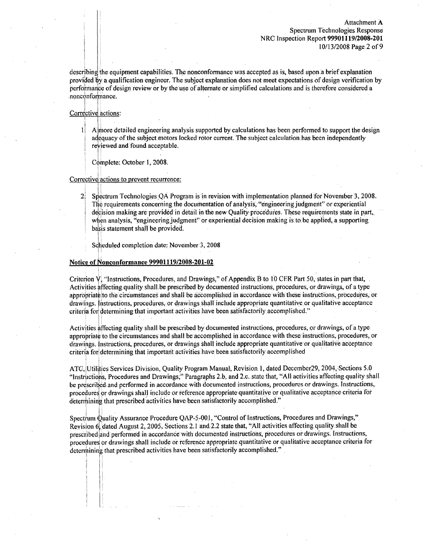describing the equipment capabilities. The nonconformance was accepted as is, based upon a brief explanation provided **by** a qualification engineer. The subject explanation does not meet expectations of design verification by perforniance of design review or by the:use of alternate or simplified calculations and is therefore considered a .nono6nforni'ance,

## Corrective actions:

- **I** Almore detailed engineering analysis supported by calculations has been performed to support the design adequacy of the subject motors locked rotor current. The subject calculation has been independently reviewed and found acceptable.
	- Complete: October 1, 2008.

#### Corrective actions to prevent recurrence:

2: Spectrum TechnologiesQA Program isin revision withimplementation planned for November 3, 2008. The requirements concerning the documentation of analysis, "engineering judgment" or experiential decision making are provided in detail in the new Quality procedures. These requirements state in part, when analysis, "engineering judgment" or experiential decision making is to be applied, a supporting basis statement shall be provided.

Scheduled completion date; November 3, 2008

#### Notice of Nonconformance 99901119/2008-201-02

Criterion V. "Instructions, Procedures, and Drawings," of Appendix B to 10 CFR Part 50, states in part that, Activities affecting quality shall be prescribed by documented instructions, procedures, or drawings, of a type appropriateito the circumstances and shall be accomplished in accordance with these instiructions, procedures, or drawings. Instructions, procedures, or drawings shall include appropriate quantitative or qualitative acceptance criteria for determining that important activities have been satisfactorily accomplished."

Activities affecting quality shall be prescribed by documented instructions, procedures, or drawings, of a type appropriate to the circumstances and shall be accomplished in accordance with these instructions, procedures, or drawings. Instructions, procedures, or drawings shall include appropriate quantitative or qualitative acceptance criteria for determining that important activities have been satisfactorily accomplished

ATC, Utilities Services Division, Quality Progran. Manual, Revision. 1, dated December29, 2004,:Sections **5.0** "Instructions, Procedures and Drawings;" Paragraphs 2.b. and 2.c. state that, "All activities affecting quality shall be prescribed: and performed in accordance with documented instructions; procedures or drawings. Instructions, procedures or drawings shall include or reference appropriate quantitative or qualitative acceptance criteria for determining that prescribed activities have been satisfactorily accomplished."

Spectrum Quality Assurance Procedure QAP-5-00.1, "Control of Instructions, Procedures and Drawings," Revision 6. dated August 2, 2005, Sections 2.1 and 2.2 state that, "All activities affecting quality shall be prescribed and performed in accordance with documented instructions, procedures or drawings. Instructions, procedures or drawings shall include oir. reference appropriate quantitative or qualitative acceptance criteria for determining that prescribed activities have been satisfactorily accomplished."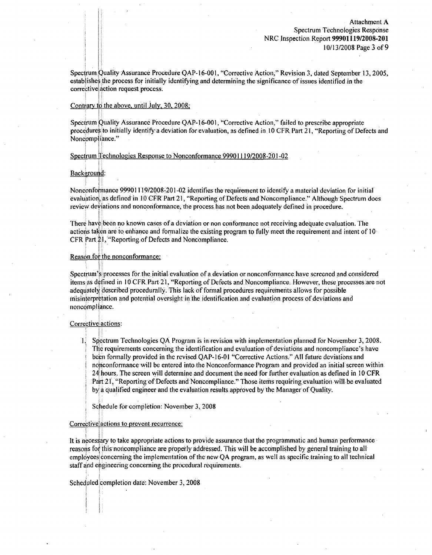Spectrum puality Assurance Procedure QAP-16-001, "Corrective Action," Revision 3, dated September **13,** 2005, establishes the. process for initially identifying and determining thesignificance of issues identified.in the corrective action request process.

#### Contrary to the above. until July, 30, 2008;

Spectrum Quality Assurance Procedure QAP-16-001, "Corrective Action," failed to prescribe appropriate procedures to initially identify a deviation for evaluation, as defined in 10 CFR Part 21, "Reporting of Defects and Noneompliance."

#### Spectrum Technologies Response to Nonconformance 99901119/2008-201-02

## Background:

Nonconformance 999011 19/2008-201-02 identifiesithe:requirement to identify a material deviation for initial' evaluation, as defined in 10 CFR Part 21, "Reporting of Defects and Noncompliance." Although Spectrum does review deviations and nonconformance, the process has not been adequately defined in procedure.

There have been no known cases of a deviation or non conformance not receiving adequate evaluation. The actions taken are to enhance and formalize the existing program to fully meet the requirement and intent of 10 CFR Part 21, "Reporting of Defects and Noncompliance.

## Reason for the nonconformance:

Spectrum's processes for the initial evaluation of a deviation or nonconformance have screened and considered items as defined in 10 CFR Part 21, "Reporting of Defects and Noncompliance. However, these processes are not adequately described procedurally. This lack of formal procedures requirements allows for possible inisinterprktation and potentia! oversight in. the identification and evaluation process of deviations and noncompliance.

## Corrective' actions:

T Spectrum Technologies QA Program is in revision with implementation planned for November **3,** 2008. The requirements concerning the identification and evaluation of deviations and noncompliance's have been formally provided in the revised OAP-16-01 "Corrective Actions." All future deviations: and nonconformance will be entered into the Nonconformance Program and provided an initial screen within.  $24$  hours. The screen will determine and document the need for further evaluation as defined in 10 CFR Part 21, "Reporting of Defects and Noncompliance." Those items requiring evaluation will be evaluated by a qualified engineer and the evaluation results approved by the Managerof Quality.

Schedule for compleition: November 3, 2008

#### Corrective!actions to prevent recurrence:

It is necessary to take appropriate actions to provide assurance that the programmatic and. human performance reasons for this noncompliance are properly addressed. This will be accomplished by general training to all employees concerning the implementation of the new OA program, as well as specific training to all technical staff and engineering concerning the procedural requirements.

Scheduled completion date: November 3, 2008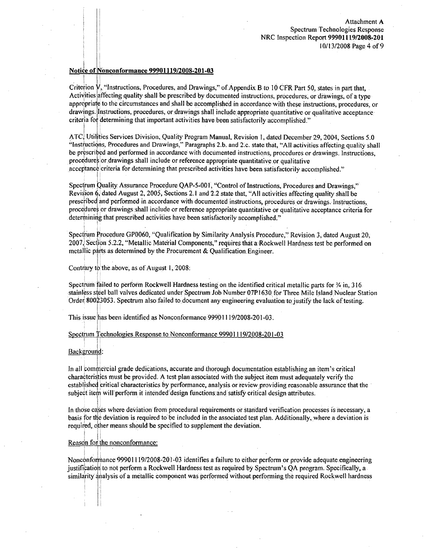Attachment A Spectrum Technologies Response NRC Inspection Report **99901119/2008-201 10/ 13/2008** Page 4 of **9**

## Notice :of Nonconformance **99901119/2008-201-03**

Criterion V. "Instructions, Procedures, and Drawings," of.Appendix B to **10** CFR Part *50,* states in part that, Activities affecting quality shall be prescribed by documented instructions, procedures, or drawings, of a type appropriate to.the circumstances and shall be accomplishedin accordance with these instructions, procedures, or drawings. Instructions, procedures, or drawings shall include appropriate quantitative or qualitative acceptance critcria for determining that important activities have been satisfactorily accomplished."

ATC, Utilities Services Division, Quality Program Manual, Revision I, dated December 29, 2004, Sections **5.0** "Instructiqns, Procedures and Drawings," Paragraphs 2.b. and 2 c. state-that, **"All** activities affecting.quality shall be prescribed and performed in accordance with documented instructions, procedures or drawings. Instructions, procedures or drawings shall include or reference appropriate quantitative or qualitative acceptance criteria for determining that prescribed activities have been satisfactorily accomplished."

Spectrum Quality. Assurance Procedure QAP-5-001, "Control of Instructions, Procedures and Drawings," Revision 6, dated August 2, 2005, Sections 2.1 and: 2.2 state that, "All: activities affecting quality shall be prescribed and perforimed in.accordance with documented instructions, procedures or drawings. Instructions, proce dures or drawings shall include or reference appropriate quantitative or qualitative acceptance criteria for determining that prescribed activities have been satisfactorily accomplished."

SpectrUnm Procedure **GPO060,** "Qualification by Similarity Analysis. Procedure," Revision 3, dated August 20, 2007; Section 5.2.2, "Metallic Material Components," requires that a Rockwell Hardness test be performed on metallic parts. as determined by the Procurement & Qualification. Engineer.

#### Contrary to the above, as of August 1, 2008:

Spectrum failed to perform Rockwell Hardness testing on the identified critical metallic parts for % in, 316. stainless steel ball valves dedicated under Spectrum Job Number 07P1630 for Three Mile Island Nuclear Station Order 80023053. Spectrum also failed to document any engineering evaluation to justify the lack of testing.

This issue has been identified as Nonconformance 99901119/2008-201-03.

#### Spectrum Technologies Response to Nonconformance 99901119/2008-201-03

#### Background:

In all commercial grade dedications, accurate.and thorough documentation establishing an item's critical characteristics must be provided. A test plan associated with the subject item must adequately verify the established critical characteristics by performance, analysis or review providing reasonable assurance that the subject item will perform it intended design functions and satisfy critical design attributes.

In those cases where deviation from procedural requirements or standard verification processes is.necessary, a basis for the deviation is required to' be included in the associated test plan. Additionally, where a deviation is required, other means should be specified to supplement the deviation.

#### Reason for the nonconformance:

Nonconformance 99901119/2008-201-03 identifies a failure to either perform or provide adequate engineering justificatioih to'not perform a Rockwell Hardness test as required by Spectrum's QA program. Specifically, a similarity analysis of a metallic component was performed without performing the required Rockwell hardness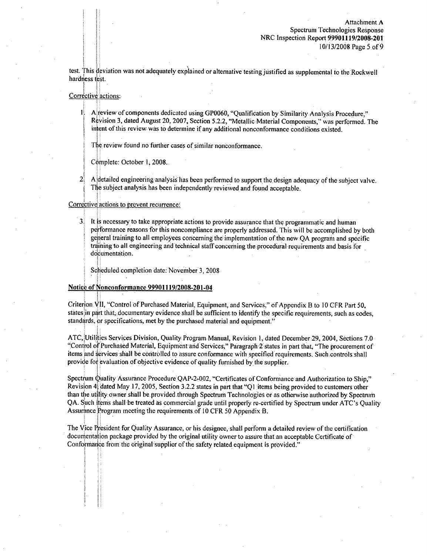test. This deviation was not adequately explained or alternative testing justified as supplemental to the.Rockwell hardness test.

#### Corrective actions:

**U.** Alreview of components dedicated using **GP0060,** "Qualification by.Similarity Analysis Procedure," Revision 3, dated August 20, 2007, Section **5.2.2,** "Metallic Material Components," was performed. The inient of this review. was to determine if any additional nonconformance conditions existed.

**The** review found no further cases of similar nonconformance.

Complete: October **1,** 2008..

2. A detailed engineering analysis has been performed to support the design adequacy of the subject valve. The subject analysis has been independentlyreviewed and found acceptable.

## Corrective actions to prevent recurrence:

3. It is necessary to take appropriateactions to provide assurance that the programmatic and human performance reasons for this noncompliance are properly addressed. This will be accomplished by both general training to all employees concerning the implementation of the new OA program and specific training to all engineering and technical staff concerning the procedural requirements and basis for documentation.

Scheduled completion date: November 3, 2008

## Notice of Nonconformance 99901119/2008-201.04.

Criterion Vii, "Control of Purchased Material, Equipment, and Services," **of** Appendix B to 10 CFR Part **50,** statcs in part that. documentary evidence shall be sufficient:to identify the specific requirements, such as codes, standards, or specifications, met by the purchased material and equipment."

ATC, Utilities Services Division, Quality Program: Manual, Revision 1, dated December 29, 2004, Sections 7.0 "Control of Purchased Material, Equipment and Services," Paragraph 2 states in part that, "The procurement of items and services shall be controlled to assure conformance with specified requirements. Such controls shall provide for evaluation of objective evidence of quality furnished by the supplier.

Spectrum Q!uality Assurance Procedure: QAP-2-002, "Certificates **of** Conformance:and Authorization to Ship," Revision 4, dated May 17, 2005, Section 3.2.2 states in part that "QI items being provided to customers other than the utility owner shall be provided through Spectrum Technologies or as otherwise authorized by Spectrum QA. Such items shall:be treated as commercial grade until properly re-certified by Spectrum under ATC's Quality Assurance Program meeting the requirements of **10** CFR 50 Appendix B.

The Vice President for Quality Assurance, or his designee, shall perform a detailed review of the certification docurnentaiion package provided by the original utility owner to assure that an acceptable Certificate of Conformance from the original supplier of the safety related equipment is provided."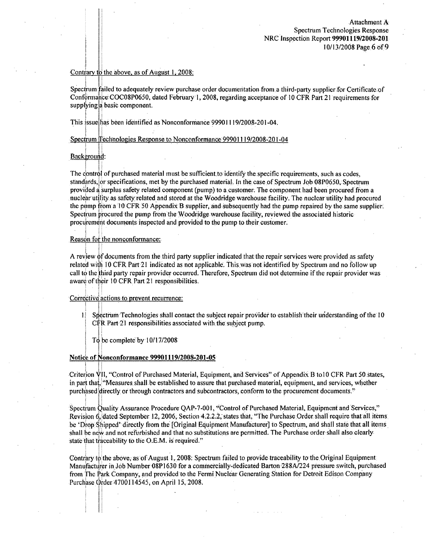## Contiarv to the above, as of August **1,** 2008:

Spectrum failed to adequately review purchase order documentation from a third-party supplier for Certificate of Conformance COC08P0650, dated February 1, 2008, regarding acceptance of 10 CFR Part 21 requirements for supplying a basic component.

This issue has been identified as Nonconformance 99901119/2008-201-04.

Spectrum Technologies Response to Nonconformance 99901119/2008-201-04

## Background:

The control of purchased material must be sufficient to identify the specific requirements, such as codes, standards, or specifications, met by the purchased material. In the case of Spectrum Job 08P0650, Spectrum provided a surplus safety related component (pump) to a customer. The componentlhad been procured from a n uclear utility. as safetyrelated and stored at the Woodridge warehouse facility. The nuclear utility had procured the pump from a **1** 0CFR **50** Appendix B supplier,.and subsequently had the pump repaired by the same supplier. Spectrum procured the pump from the Woodridge warehouse facility, reviewed the associated historic procurement documents inspected and provided to the pump to their customer.

## Reason for the nonconformance:

A review of documents from the third party supplier indicated that the repair services were provided as safety related with 10 CFR Part 21 indicated as not applicable. This.was not identified by Spectrum and no follow up call to the third party repair provider occurred. Therefore, Spectrum did not determine if the repair provider was aware of their 10 CFR Part 21 responsibilities.

## Corrective actions to prevent recurrence:

- 1. Spectrum Technologies shall contact the subject repair provider to establish their understanding of the 10 CFR Part 21 responsibilities associated with the subject pump.
	- To be complete by  $10/17/2008$

#### Notic6 of Nonconformance 99901119/2008-201.-05

Criterion VII, "Control of Purchased Material, Equipment, and Services" of Appendix B to 10 CFR Part 50 states, in part that, "Measures shall be established to assure that purchased material, equipment, and services, whether purchased directly or through contractors and subcontractors, conform to the procurement documents."

Spectrum Quality Assurance Procedure QAP-7-001, "Control of Purchased Material, Equipment and Services," Revision 6, dated September 12, 2006; Section 4.2.2.2, states that, "The Purchase Order shall require that all items be 'Drop Shipped' directly from the [Original Equipment Manufacturer] to Spectrum, and shall state that all items shall be new and not refurbished and that no substitutions are permitted. The Purchase order shall also clearly state that traceability to the O.E.M. is required."

Contrary to the above, as of August 1, 2008: Spectrum failed to provide traceability to the.Original Equipment Manuffactuirer in Job Number 08P1630 for a commercially-dedicated Barton 288A/224 pressure switch, purchased from The Park Company, and provided to the Fermi Nuclear Generating Station for Detroit Edison Company •Purchase Order 1700114545, on April **15.,** 2008.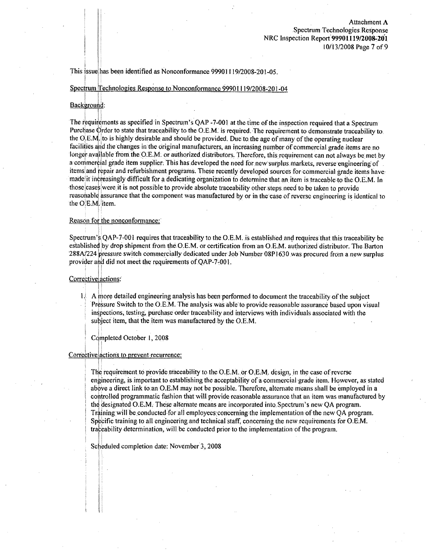This issue; has been identified as Nonconformance 99901119/2008-201-05.

Spectrum Technologies Response to Nonconformance 99901119/2008-201-04

#### Background:

The requirements as specified in Spectrum's OAP -7-001 at the time of the inspection required that a Spectrum Purchase Order to state that traceability to the O.E.M. is required. The requirement to demonstrate traceability to the  $O.E.M$  to is highly desirable and should be provided. Due to the age of many of the operating nuclear facilities and the changes in the original manufacturers, an increasing number of commercial grade items are no longer available from the O.E.M. or authorized distributors. Therefore, this requirement can not always be met by a commercial grade item supplier. This has developed the need for new surplus markets, reverse engineering of items and repair and refurbishment programs. These recently developed sources for commercial grade items have made it increasingly difficult for a dedicating organization to determine that an item is traceable to the O.E.M. In .those casesiwere it is not possible to provide absolute traceability other:steps.need to. be taken to provide reasonable assurance that the component was manufactured by or in the case of reverse engineering is identical to the O.E.M. item.

## Reason for the nonconformance:'

Spectrum's QAP-7-001 requires that traceability to the O.E.M. is established and requires that this traceability be established by dropshipment from the O.E.M. or certification from an O.E.M. authorized distributor. The. Barton **288AI224** Pressure switch commercially dedicated under **Job** Number 08P 1630 was procured from a new surplus provider aid did not meet the requirements of.QAP-7-001.

#### Corrective actions:

 $1!$  A more detailed engineering analysis has been performed to document the traceability of the subject Pressure Switch to the O.E.M. The analysis was able to provide reasonable assurance based upon visual in pections, testing, purchase order traceability and interviews with individuals associated with the subject item, that the item was manufactured by the O.E.M.

#### Completed October 1, 2008

#### Correctiveiactions to prevent recurrence:

The requirement to provide traceability to the O.E.M. or O.E.M. design, in the case of reverse engineering, is important to establishing the acceptability of a. commercial grade item. However, as stated above a direct link to an O.E.M may not be possible. Therefore, alternate means shall be employed in a cointrolled programmatic fashion that will provide reasonable assurance that an item was manufactured by the designated O.E.M. These alternate means are incorporated into Spectrum's new OA program. Training will be conducted for all employees concerning the implementation of the new OA program. Specific training to all engineering and technical staff, concerning the new requirements for O.E.M. traceability determination, will be conducted prior to the implementation of the program.

Scheduled completion date: November 3, 2008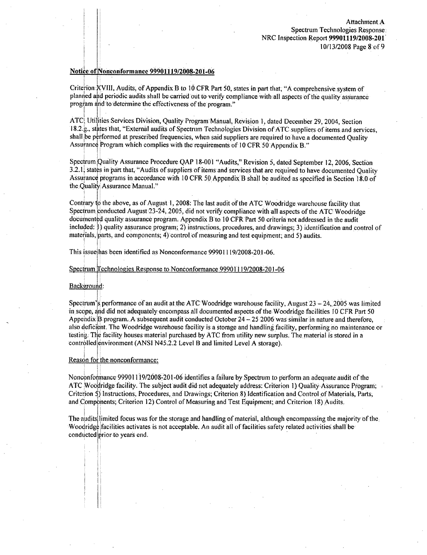## Notice:of Nonconformance 99901119/2008-201-06

Criterion:XVIII, Audits; of Appendix 1B to 10 CFR Part **50,** states in part that, "A comprehensive: system of planned and periodic audits shall be carried out to verify compliance with all aspects of the quality assurance program and to determine the effectiveness of the program."

ATC, Utiiities:Services Division, Quality ProgramManual, Revision **1,** dated December 29, 2004, Section 18.2.g., states that, "External audits of Spectrum Technologies Division of ATC suppliers of items and services, shall be performed at prescribed frequencies, when said suppliers are required to have a documented Quality Assurance Program which complies with the requirements of 10 CFR 50 Appendix B."

Spectrum Quality Assurance Procedure QAP 18-001 "Audits," Revision **5,** dated September 12, 2006, Section **3.2.1** states inpart that, "Audits of suppliers of items and services that are required to have documented Quality Assurance programs in accordance with 10 CFR 50 Appendix B shall be audited as specified in Section 18.0 of the Quality Assurance Manual."

Contrary to the above, as of August **1,** 2008: The last audit of the ATC Woodridge warehouse facility that Spectrum conducted August:23-24, 2005, did not verify compliance with all aspects of the ATC Woodridge documented quality assurance program. Appendix B1to, **10** CFR Part 50 criteria not addressed in the audit included: **I)** quality assurance program; 2) instructions, procedures, and drawings; 3) identification and control of materials, parts, and components; 4) control of measuring and test equipment; and 5) audits.

This issuehas been identified as Nonconformance 99901119/2008-20,1-06.

#### Spectrum Technologies Response to Nonconformance .99901119/2008-201-06

#### Background:

Spectrum's performance of an audit at the ATC Woodridge warehouse facility, August  $23 - 24$ , 2005 was limited in scope, **and** did not adequately encompass all documented aspects.of the Woodridge facilities **JO** CFR Part 50 Appendix B programn A.subsequentaudit conducted October 24 **-. 25** 2006was similarin nature and therefore, also deficient. The Woodridge warehouse facility is a storage and handling facility, performing no maintenance or testing. The facility housesmaterial purchased by ATC from utilitynew surplus. The material is stored in a controlled environment (ANSI N45.2.2 Level B and limited Level A storage).

### Reason for the nonconformance:

Nonconformance 999011 19/2008-201-06 identifies a failureby.Spectrum to perform an adequate audit of the ATC Woodridge facility. The subject audit did not adequately address: Criterion 1) Quality Assurance Program: Criterion **)** )Instructions, Procedures, and Drawings; Criterion 8) Identification and Control of Materials, Parts, and Components; Criterion 12) Control of Measuring and Test Equipment; and Criterion 18) Audits.

The audits limited focus was for the storage and handling of material, although encompassing the majority of the Woodridge facilities activates is not acceptable. An audit all of facilities safety related activities shall be conducted prior to years end.